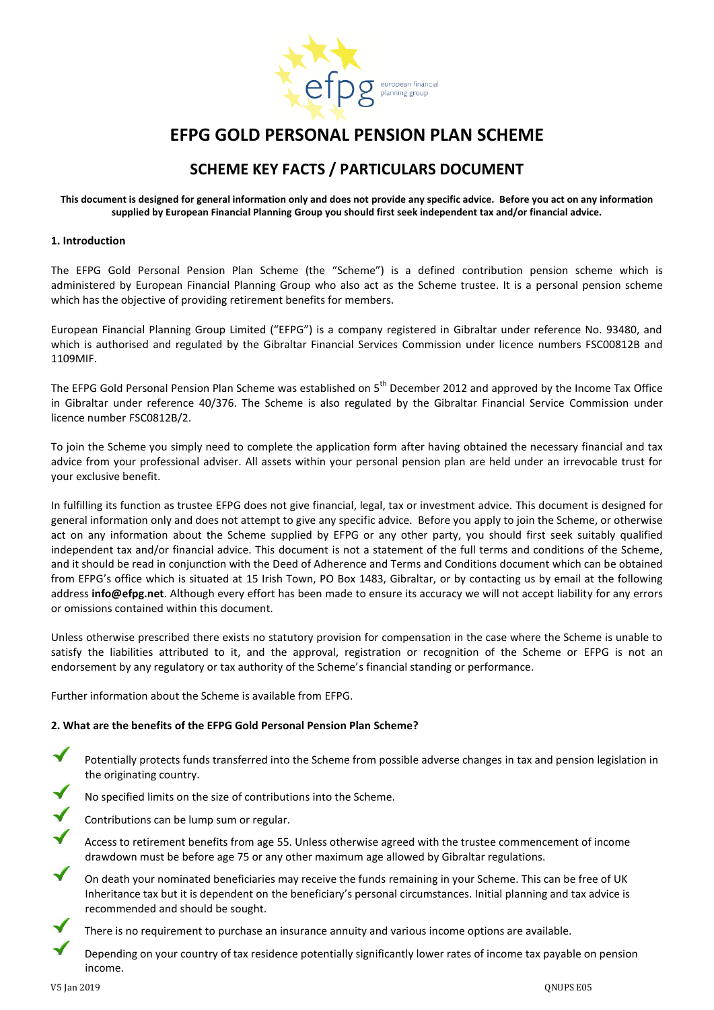

# **EFPG GOLD PERSONAL PENSION PLAN SCHEME**

## **SCHEME KEY FACTS / PARTICULARS DOCUMENT**

**This document is designed for general information only and does not provide any specific advice. Before you act on any information supplied by European Financial Planning Group you should first seek independent tax and/or financial advice.**

#### **1. Introduction**

The EFPG Gold Personal Pension Plan Scheme (the "Scheme") is a defined contribution pension scheme which is administered by European Financial Planning Group who also act as the Scheme trustee. It is a personal pension scheme which has the objective of providing retirement benefits for members.

European Financial Planning Group Limited ("EFPG") is a company registered in Gibraltar under reference No. 93480, and which is authorised and regulated by the Gibraltar Financial Services Commission under licence numbers FSC00812B and 1109MIF.

The EFPG Gold Personal Pension Plan Scheme was established on 5<sup>th</sup> December 2012 and approved by the Income Tax Office in Gibraltar under reference 40/376. The Scheme is also regulated by the Gibraltar Financial Service Commission under licence number FSC0812B/2.

To join the Scheme you simply need to complete the application form after having obtained the necessary financial and tax advice from your professional adviser. All assets within your personal pension plan are held under an irrevocable trust for your exclusive benefit.

In fulfilling its function as trustee EFPG does not give financial, legal, tax or investment advice. This document is designed for general information only and does not attempt to give any specific advice. Before you apply to join the Scheme, or otherwise act on any information about the Scheme supplied by EFPG or any other party, you should first seek suitably qualified independent tax and/or financial advice. This document is not a statement of the full terms and conditions of the Scheme, and it should be read in conjunction with the Deed of Adherence and Terms and Conditions document which can be obtained from EFPG's office which is situated at 15 Irish Town, PO Box 1483, Gibraltar, or by contacting us by email at the following address **info@efpg.net**. Although every effort has been made to ensure its accuracy we will not accept liability for any errors or omissions contained within this document.

Unless otherwise prescribed there exists no statutory provision for compensation in the case where the Scheme is unable to satisfy the liabilities attributed to it, and the approval, registration or recognition of the Scheme or EFPG is not an endorsement by any regulatory or tax authority of the Scheme's financial standing or performance.

Further information about the Scheme is available from EFPG.

## **2. What are the benefits of the EFPG Gold Personal Pension Plan Scheme?**

- Potentially protects funds transferred into the Scheme from possible adverse changes in tax and pension legislation in the originating country.
- No specified limits on the size of contributions into the Scheme.
- Contributions can be lump sum or regular.
- Access to retirement benefits from age 55. Unless otherwise agreed with the trustee commencement of income drawdown must be before age 75 or any other maximum age allowed by Gibraltar regulations.
- On death your nominated beneficiaries may receive the funds remaining in your Scheme. This can be free of UK Inheritance tax but it is dependent on the beneficiary's personal circumstances. Initial planning and tax advice is recommended and should be sought.
	- There is no requirement to purchase an insurance annuity and various income options are available.

Depending on your country of tax residence potentially significantly lower rates of income tax payable on pension income.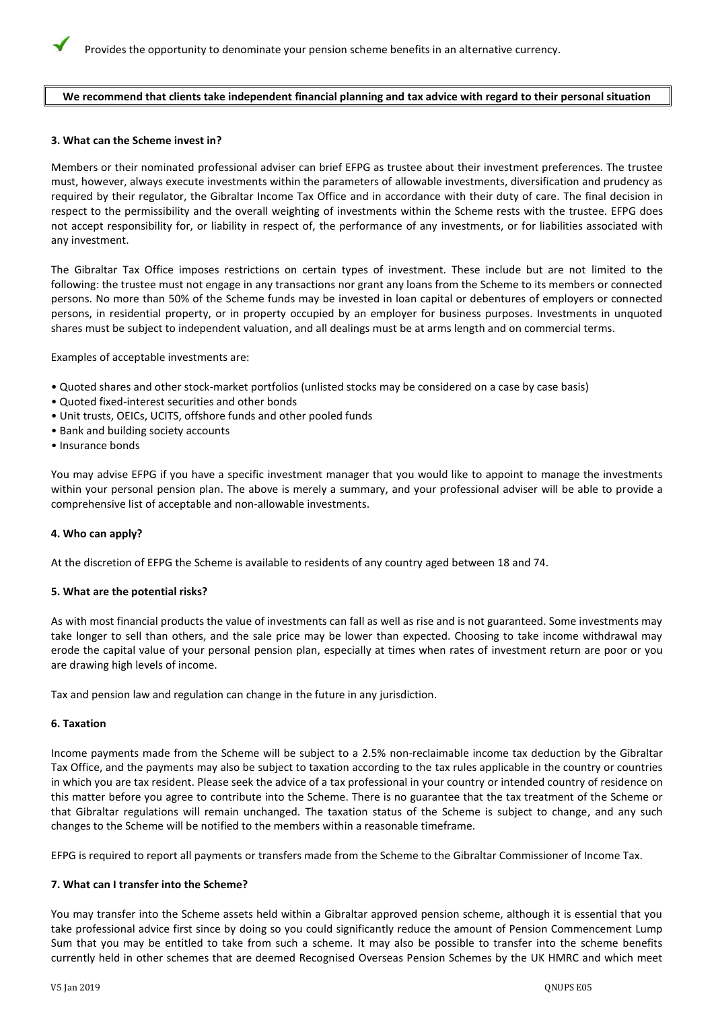#### **We recommend that clients take independent financial planning and tax advice with regard to their personal situation**

#### **3. What can the Scheme invest in?**

Members or their nominated professional adviser can brief EFPG as trustee about their investment preferences. The trustee must, however, always execute investments within the parameters of allowable investments, diversification and prudency as required by their regulator, the Gibraltar Income Tax Office and in accordance with their duty of care. The final decision in respect to the permissibility and the overall weighting of investments within the Scheme rests with the trustee. EFPG does not accept responsibility for, or liability in respect of, the performance of any investments, or for liabilities associated with any investment.

The Gibraltar Tax Office imposes restrictions on certain types of investment. These include but are not limited to the following: the trustee must not engage in any transactions nor grant any loans from the Scheme to its members or connected persons. No more than 50% of the Scheme funds may be invested in loan capital or debentures of employers or connected persons, in residential property, or in property occupied by an employer for business purposes. Investments in unquoted shares must be subject to independent valuation, and all dealings must be at arms length and on commercial terms.

Examples of acceptable investments are:

- Quoted shares and other stock-market portfolios (unlisted stocks may be considered on a case by case basis)
- Quoted fixed-interest securities and other bonds
- Unit trusts, OEICs, UCITS, offshore funds and other pooled funds
- Bank and building society accounts
- Insurance bonds

You may advise EFPG if you have a specific investment manager that you would like to appoint to manage the investments within your personal pension plan. The above is merely a summary, and your professional adviser will be able to provide a comprehensive list of acceptable and non-allowable investments.

#### **4. Who can apply?**

At the discretion of EFPG the Scheme is available to residents of any country aged between 18 and 74.

#### **5. What are the potential risks?**

As with most financial products the value of investments can fall as well as rise and is not guaranteed. Some investments may take longer to sell than others, and the sale price may be lower than expected. Choosing to take income withdrawal may erode the capital value of your personal pension plan, especially at times when rates of investment return are poor or you are drawing high levels of income.

Tax and pension law and regulation can change in the future in any jurisdiction.

#### **6. Taxation**

Income payments made from the Scheme will be subject to a 2.5% non-reclaimable income tax deduction by the Gibraltar Tax Office, and the payments may also be subject to taxation according to the tax rules applicable in the country or countries in which you are tax resident. Please seek the advice of a tax professional in your country or intended country of residence on this matter before you agree to contribute into the Scheme. There is no guarantee that the tax treatment of the Scheme or that Gibraltar regulations will remain unchanged. The taxation status of the Scheme is subject to change, and any such changes to the Scheme will be notified to the members within a reasonable timeframe.

EFPG is required to report all payments or transfers made from the Scheme to the Gibraltar Commissioner of Income Tax.

#### **7. What can I transfer into the Scheme?**

You may transfer into the Scheme assets held within a Gibraltar approved pension scheme, although it is essential that you take professional advice first since by doing so you could significantly reduce the amount of Pension Commencement Lump Sum that you may be entitled to take from such a scheme. It may also be possible to transfer into the scheme benefits currently held in other schemes that are deemed Recognised Overseas Pension Schemes by the UK HMRC and which meet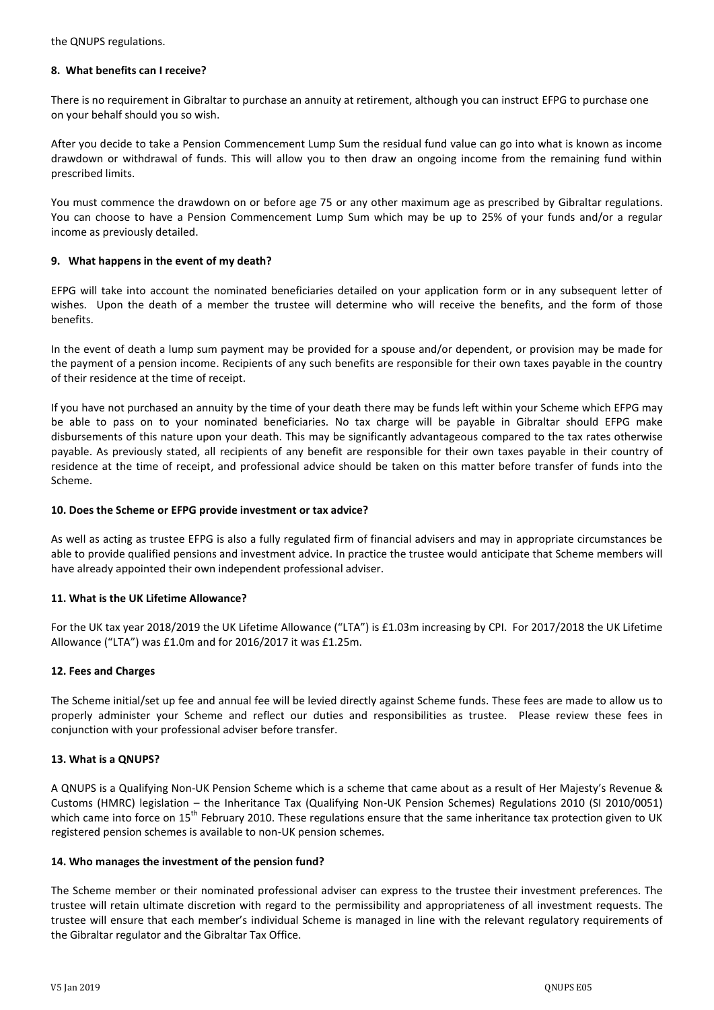the QNUPS regulations.

#### **8. What benefits can I receive?**

There is no requirement in Gibraltar to purchase an annuity at retirement, although you can instruct EFPG to purchase one on your behalf should you so wish.

After you decide to take a Pension Commencement Lump Sum the residual fund value can go into what is known as income drawdown or withdrawal of funds. This will allow you to then draw an ongoing income from the remaining fund within prescribed limits.

You must commence the drawdown on or before age 75 or any other maximum age as prescribed by Gibraltar regulations. You can choose to have a Pension Commencement Lump Sum which may be up to 25% of your funds and/or a regular income as previously detailed.

## **9. What happens in the event of my death?**

EFPG will take into account the nominated beneficiaries detailed on your application form or in any subsequent letter of wishes. Upon the death of a member the trustee will determine who will receive the benefits, and the form of those benefits.

In the event of death a lump sum payment may be provided for a spouse and/or dependent, or provision may be made for the payment of a pension income. Recipients of any such benefits are responsible for their own taxes payable in the country of their residence at the time of receipt.

If you have not purchased an annuity by the time of your death there may be funds left within your Scheme which EFPG may be able to pass on to your nominated beneficiaries. No tax charge will be payable in Gibraltar should EFPG make disbursements of this nature upon your death. This may be significantly advantageous compared to the tax rates otherwise payable. As previously stated, all recipients of any benefit are responsible for their own taxes payable in their country of residence at the time of receipt, and professional advice should be taken on this matter before transfer of funds into the Scheme.

## **10. Does the Scheme or EFPG provide investment or tax advice?**

As well as acting as trustee EFPG is also a fully regulated firm of financial advisers and may in appropriate circumstances be able to provide qualified pensions and investment advice. In practice the trustee would anticipate that Scheme members will have already appointed their own independent professional adviser.

## **11. What is the UK Lifetime Allowance?**

For the UK tax year 2018/2019 the UK Lifetime Allowance ("LTA") is £1.03m increasing by CPI. For 2017/2018 the UK Lifetime Allowance ("LTA") was £1.0m and for 2016/2017 it was £1.25m.

## **12. Fees and Charges**

The Scheme initial/set up fee and annual fee will be levied directly against Scheme funds. These fees are made to allow us to properly administer your Scheme and reflect our duties and responsibilities as trustee. Please review these fees in conjunction with your professional adviser before transfer.

## **13. What is a QNUPS?**

A QNUPS is a Qualifying Non-UK Pension Scheme which is a scheme that came about as a result of Her Majesty's Revenue & Customs (HMRC) legislation – the Inheritance Tax (Qualifying Non-UK Pension Schemes) Regulations 2010 (SI 2010/0051) which came into force on 15<sup>th</sup> February 2010. These regulations ensure that the same inheritance tax protection given to UK registered pension schemes is available to non-UK pension schemes.

#### **14. Who manages the investment of the pension fund?**

The Scheme member or their nominated professional adviser can express to the trustee their investment preferences. The trustee will retain ultimate discretion with regard to the permissibility and appropriateness of all investment requests. The trustee will ensure that each member's individual Scheme is managed in line with the relevant regulatory requirements of the Gibraltar regulator and the Gibraltar Tax Office.